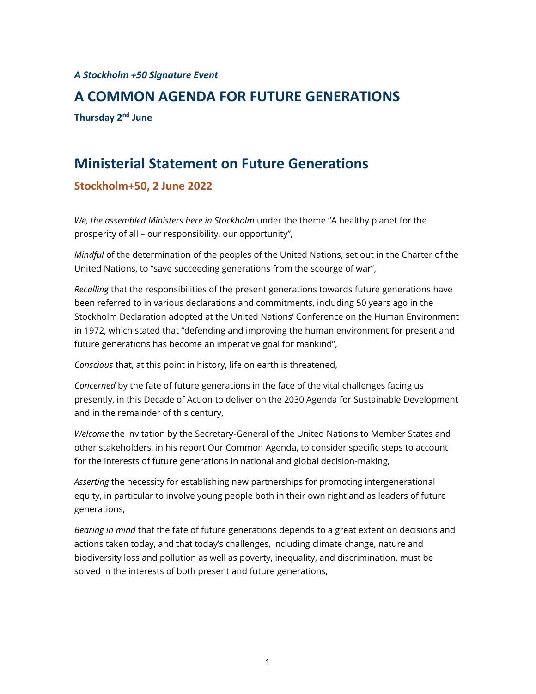*A Stockholm +50 Signature Event*

# **A COMMON AGENDA FOR FUTURE GENERATIONS Thursday 2nd June**

# **Ministerial Statement on Future Generations Stockholm+50, 2 June 2022**

*We, the assembled Ministers here in Stockholm* under the theme "A healthy planet for the prosperity of all – our responsibility, our opportunity",

*Mindful* of the determination of the peoples of the United Nations, set out in the Charter of the United Nations, to "save succeeding generations from the scourge of war",

*Recalling* that the responsibilities of the present generations towards future generations have been referred to in various declarations and commitments, including 50 years ago in the Stockholm Declaration adopted at the United Nations' Conference on the Human Environment in 1972, which stated that "defending and improving the human environment for present and future generations has become an imperative goal for mankind",

*Conscious* that, at this point in history, life on earth is threatened,

*Concerned* by the fate of future generations in the face of the vital challenges facing us presently, in this Decade of Action to deliver on the 2030 Agenda for Sustainable Development and in the remainder of this century,

*Welcome* the invitation by the Secretary-General of the United Nations to Member States and other stakeholders, in his report Our Common Agenda, to consider specific steps to account for the interests of future generations in national and global decision-making,

*Asserting* the necessity for establishing new partnerships for promoting intergenerational equity, in particular to involve young people both in their own right and as leaders of future generations,

*Bearing in mind* that the fate of future generations depends to a great extent on decisions and actions taken today, and that today's challenges, including climate change, nature and biodiversity loss and pollution as well as poverty, inequality, and discrimination, must be solved in the interests of both present and future generations,